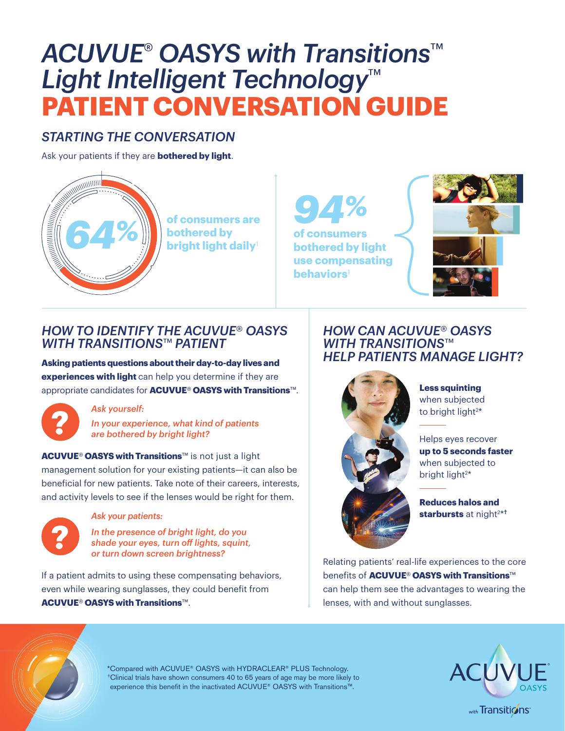# *ACUVUE*® *OASYS with Transitions*™ *Light Intelligent Technology*™ **PATIENT CONVERSATION GUIDE**

# *STARTING THE CONVERSATION*

Ask your patients if they are **bothered by light**.



*94%* **of consumers bothered by light use compensating behaviors**<sup>1</sup>



## *HOW TO IDENTIFY THE ACUVUE*® *OASYS WITH TRANSITIONS*™ *PATIENT*

**Asking patients questions about their day-to-day lives and experiences with light** can help you determine if they are appropriate candidates for **ACUVUE**® **OASYS with Transitions**™.



#### *Ask yourself:*

*In your experience, what kind of patients are bothered by bright light?* 

**ACUVUE**® **OASYS with Transitions**™ is not just a light management solution for your existing patients—it can also be beneficial for new patients. Take note of their careers, interests, and activity levels to see if the lenses would be right for them.



### *Ask your patients:*

*In the presence of bright light, do you shade your eyes, turn off lights, squint, or turn down screen brightness?*

If a patient admits to using these compensating behaviors, even while wearing sunglasses, they could benefit from **ACUVUE**® **OASYS with Transitions**™.

## *HOW CAN ACUVUE*® *OASYS WITH TRANSITIONS*™ *HELP PATIENTS MANAGE LIGHT?*



**Less squinting** when subjected to bright light<sup>2\*</sup>

Helps eyes recover **up to 5 seconds faster** when subjected to bright light<sup>2\*</sup>

**Reduces halos and**  starbursts at night<sup>2\*†</sup>

Relating patients' real-life experiences to the core benefits of **ACUVUE**® **OASYS with Transitions**™ can help them see the advantages to wearing the lenses, with and without sunglasses.



\*Compared with ACUVUE® OASYS with HYDRACLEAR® PLUS Technology. † Clinical trials have shown consumers 40 to 65 years of age may be more likely to experience this benefit in the inactivated ACUVUE® OASYS with Transitions™.



with Transitions